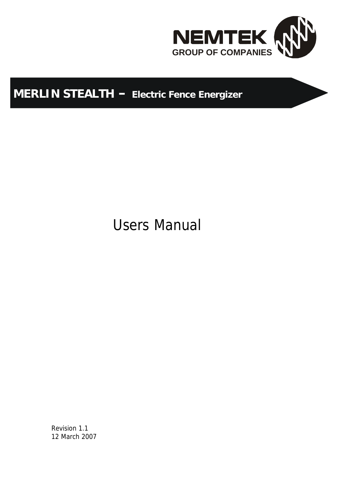

# **MERLIN STEALTH – Electric Fence Energizer**

Users Manual

Revision 1.1 12 March 2007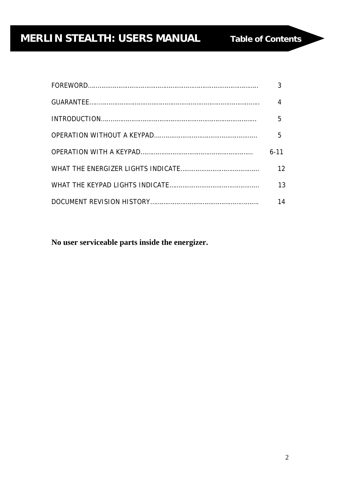# **IDERLIN STEALTH: USERS MANUAL Table of Contents**

| 5        |
|----------|
| 5        |
| $6 - 11$ |
| 12       |
| 13       |
| 14       |

**No user serviceable parts inside the energizer.**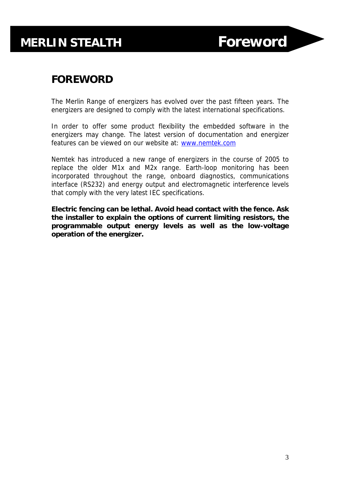## **FOREWORD**

The Merlin Range of energizers has evolved over the past fifteen years. The energizers are designed to comply with the latest international specifications.

In order to offer some product flexibility the embedded software in the energizers may change. The latest version of documentation and energizer features can be viewed on our website at: www.nemtek.com

Nemtek has introduced a new range of energizers in the course of 2005 to replace the older M1x and M2x range. Earth-loop monitoring has been incorporated throughout the range, onboard diagnostics, communications interface (RS232) and energy output and electromagnetic interference levels that comply with the very latest IEC specifications.

**Electric fencing can be lethal. Avoid head contact with the fence. Ask the installer to explain the options of current limiting resistors, the programmable output energy levels as well as the low-voltage operation of the energizer.**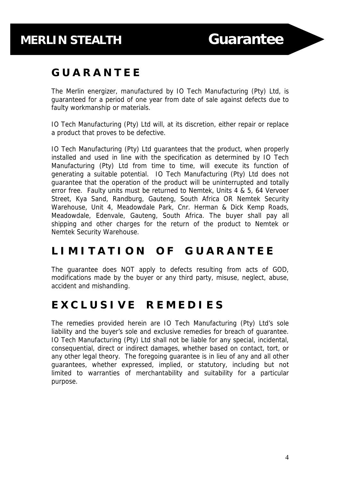# **MERLIN STEALTH Guarantee**

## **G U A R A N T E E**

The Merlin energizer, manufactured by IO Tech Manufacturing (Pty) Ltd, is guaranteed for a period of one year from date of sale against defects due to faulty workmanship or materials.

IO Tech Manufacturing (Pty) Ltd will, at its discretion, either repair or replace a product that proves to be defective.

IO Tech Manufacturing (Pty) Ltd guarantees that the product, when properly installed and used in line with the specification as determined by IO Tech Manufacturing (Pty) Ltd from time to time, will execute its function of generating a suitable potential. IO Tech Manufacturing (Pty) Ltd does not guarantee that the operation of the product will be uninterrupted and totally error free. Faulty units must be returned to Nemtek, Units 4 & 5, 64 Vervoer Street, Kya Sand, Randburg, Gauteng, South Africa OR Nemtek Security Warehouse, Unit 4, Meadowdale Park, Cnr. Herman & Dick Kemp Roads, Meadowdale, Edenvale, Gauteng, South Africa. The buyer shall pay all shipping and other charges for the return of the product to Nemtek or Nemtek Security Warehouse.

## **L I M I T A T I O N O F G U A R A N T E E**

The guarantee does NOT apply to defects resulting from acts of GOD, modifications made by the buyer or any third party, misuse, neglect, abuse, accident and mishandling.

# **E X C L U S I V E R E M E D I E S**

The remedies provided herein are IO Tech Manufacturing (Pty) Ltd's sole liability and the buyer's sole and exclusive remedies for breach of guarantee. IO Tech Manufacturing (Pty) Ltd shall not be liable for any special, incidental, consequential, direct or indirect damages, whether based on contact, tort, or any other legal theory. The foregoing guarantee is in lieu of any and all other guarantees, whether expressed, implied, or statutory, including but not limited to warranties of merchantability and suitability for a particular purpose.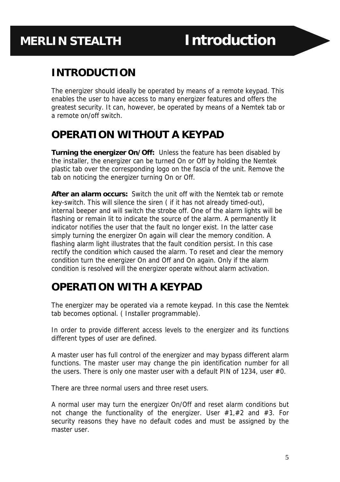# **MERLIN STEALTH Introduction**

## **INTRODUCTION**

The energizer should ideally be operated by means of a remote keypad. This enables the user to have access to many energizer features and offers the greatest security. It can, however, be operated by means of a Nemtek tab or a remote on/off switch.

## **OPERATION WITHOUT A KEYPAD**

**Turning the energizer On/Off:** Unless the feature has been disabled by the installer, the energizer can be turned On or Off by holding the Nemtek plastic tab over the corresponding logo on the fascia of the unit. Remove the tab on noticing the energizer turning On or Off.

**After an alarm occurs:** Switch the unit off with the Nemtek tab or remote key-switch. This will silence the siren ( if it has not already timed-out), internal beeper and will switch the strobe off. One of the alarm lights will be flashing or remain lit to indicate the source of the alarm. A permanently lit indicator notifies the user that the fault no longer exist. In the latter case simply turning the energizer On again will clear the memory condition. A flashing alarm light illustrates that the fault condition persist. In this case rectify the condition which caused the alarm. To reset and clear the memory condition turn the energizer On and Off and On again. Only if the alarm condition is resolved will the energizer operate without alarm activation.

## **OPERATION WITH A KEYPAD**

The energizer may be operated via a remote keypad. In this case the Nemtek tab becomes optional. ( Installer programmable).

In order to provide different access levels to the energizer and its functions different types of user are defined.

A master user has full control of the energizer and may bypass different alarm functions. The master user may change the pin identification number for all the users. There is only one master user with a default PIN of 1234, user #0.

There are three normal users and three reset users.

A normal user may turn the energizer On/Off and reset alarm conditions but not change the functionality of the energizer. User  $#1, #2$  and  $#3$ . For security reasons they have no default codes and must be assigned by the master user.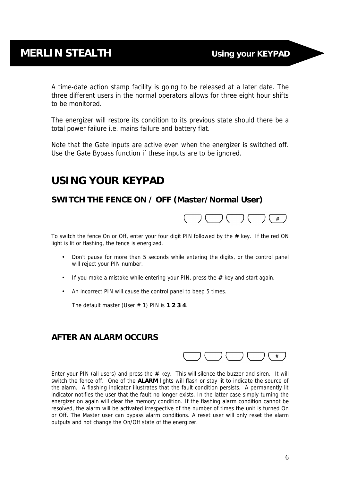A time-date action stamp facility is going to be released at a later date. The three different users in the normal operators allows for three eight hour shifts to be monitored.

The energizer will restore its condition to its previous state should there be a total power failure i.e. mains failure and battery flat.

Note that the *Gate inputs are active even when the energizer is switched off*. Use the Gate Bypass function if these inputs are to be ignored.

## **USING YOUR KEYPAD**

## **SWITCH THE FENCE ON / OFF (Master/Normal User)**



To switch the fence On or Off, enter your four digit PIN followed by the **#** key. If the red ON light is lit or flashing, the fence is energized.

- Don't pause for more than 5 seconds while entering the digits, or the control panel will reject your PIN number.
- If you make a mistake while entering your PIN, press the **#** key and start again.
- An incorrect PIN will cause the control panel to beep 5 times.

The default master (User # 1) PIN is **1 2 3 4**.

#### **AFTER AN ALARM OCCURS**



Enter your PIN (all users) and press the **#** key. This will silence the buzzer and siren. It will switch the fence off. One of the **ALARM** lights will flash or stay lit to indicate the source of the alarm. A flashing indicator illustrates that the fault condition persists. A permanently lit indicator notifies the user that the fault no longer exists. In the latter case simply turning the energizer on again will clear the memory condition. If the flashing alarm condition cannot be resolved, the alarm will be activated irrespective of the number of times the unit is turned On or Off. The Master user can bypass alarm conditions. A reset user will only reset the alarm outputs and not change the On/Off state of the energizer.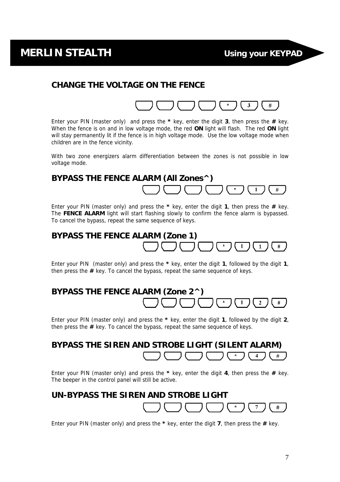## **MERLIN STEALTH Using your KEYPAD**

 $\blacksquare$ 

#

#### **CHANGE THE VOLTAGE ON THE FENCE**



Enter your PIN (master only) and press the **\*** key, enter the digit **3**, then press the **#** key. When the fence is on and in low voltage mode, the red **ON** light will flash. The red **ON** light will stay permanently lit if the fence is in high voltage mode. Use the low voltage mode when children are in the fence vicinity.

With two zone energizers alarm differentiation between the zones is not possible in low voltage mode.

## **BYPASS THE FENCE ALARM (All Zones^)**  $#$

Enter your PIN (master only) and press the **\*** key, enter the digit **1**, then press the **#** key. The **FENCE ALARM** light will start flashing slowly to confirm the fence alarm is bypassed. To cancel the bypass, repeat the same sequence of keys.

### **BYPASS THE FENCE ALARM (Zone 1)**

Enter your PIN (master only) and press the **\*** key, enter the digit **1**, followed by the digit **1**, then press the **#** key. To cancel the bypass, repeat the same sequence of keys.

#### **BYPASS THE FENCE ALARM (Zone 2^)**  $\overline{2}$  $#$

Enter your PIN (master only) and press the **\*** key, enter the digit **1**, followed by the digit **2**, then press the **#** key. To cancel the bypass, repeat the same sequence of keys.

# **BYPASS THE SIREN AND STROBE LIGHT (SILENT ALARM)**

Enter your PIN (master only) and press the **\*** key, enter the digit **4**, then press the **#** key. The beeper in the control panel will still be active.

#### **UN-BYPASS THE SIREN AND STROBE LIGHT**

Enter your PIN (master only) and press the **\*** key, enter the digit **7**, then press the **#** key.

 $#$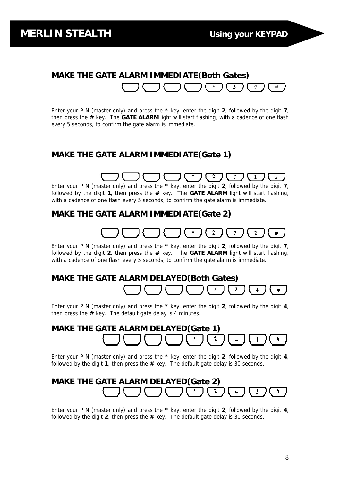#### **MAKE THE GATE ALARM IMMEDIATE(Both Gates)**  $\mathbf{2}$ #

Enter your PIN (master only) and press the **\*** key, enter the digit **2**, followed by the digit **7**, then press the **#** key. The **GATE ALARM** light will start flashing, with a cadence of one flash every 5 seconds, to confirm the gate alarm is immediate.

#### **MAKE THE GATE ALARM IMMEDIATE(Gate 1)**

#### $\mathbf{2}$  $\overline{7}$  $\mathbf{1}$

Enter your PIN (master only) and press the **\*** key, enter the digit **2**, followed by the digit **7**, followed by the digit **1**, then press the **#** key. The **GATE ALARM** light will start flashing, with a cadence of one flash every 5 seconds, to confirm the gate alarm is immediate.

#### **MAKE THE GATE ALARM IMMEDIATE(Gate 2)**

#### $\overline{2}$  $\overline{2}$ #

Enter your PIN (master only) and press the **\*** key, enter the digit **2**, followed by the digit **7**, followed by the digit **2**, then press the **#** key. The **GATE ALARM** light will start flashing, with a cadence of one flash every 5 seconds, to confirm the gate alarm is immediate.

#### **MAKE THE GATE ALARM DELAYED(Both Gates)**

 $\mathbf{2}$  $\overline{\mathbf{4}}$ #

Enter your PIN (master only) and press the **\*** key, enter the digit **2**, followed by the digit **4**, then press the **#** key. The default gate delay is 4 minutes.

#### **MAKE THE GATE ALARM DELAYED(Gate 1)**  $\mathbf 2$ # 4 1

Enter your PIN (master only) and press the **\*** key, enter the digit **2**, followed by the digit **4**, followed by the digit **1**, then press the **#** key. The default gate delay is 30 seconds.

#### **MAKE THE GATE ALARM DELAYED(Gate 2)**  $\overline{2}$  $\#$

Enter your PIN (master only) and press the **\*** key, enter the digit **2**, followed by the digit **4**, followed by the digit **2**, then press the **#** key. The default gate delay is 30 seconds.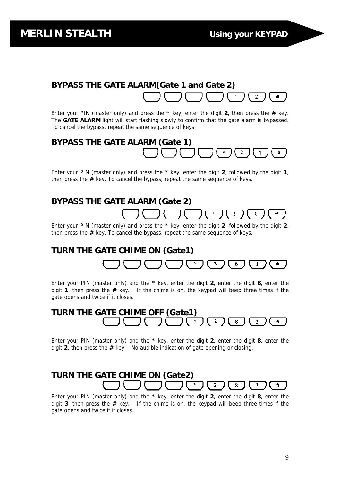#### **BYPASS THE GATE ALARM(Gate 1 and Gate 2)**   $\overline{2}$ #

Enter your PIN (master only) and press the **\*** key, enter the digit **2**, then press the **#** key. The **GATE ALARM** light will start flashing slowly to confirm that the gate alarm is bypassed. To cancel the bypass, repeat the same sequence of keys.

## **BYPASS THE GATE ALARM (Gate 1)** #

Enter your PIN (master only) and press the **\*** key, enter the digit **2**, followed by the digit **1**, then press the **#** key. To cancel the bypass, repeat the same sequence of keys.

#### **BYPASS THE GATE ALARM (Gate 2)**  $\overline{2}$  $\overline{2}$

Enter your PIN (master only) and press the **\*** key, enter the digit **2**, followed by the digit **2**, then press the **#** key. To cancel the bypass, repeat the same sequence of keys.

#### **TURN THE GATE CHIME ON (Gate1)**  $\boldsymbol{2}$ 8

Enter your PIN (master only) and the **\*** key, enter the digit **2**, enter the digit **8**, enter the digit **1**, then press the **#** key. If the chime is on, the keypad will beep three times if the gate opens and twice if it closes.

## **TURN THE GATE CHIME OFF (Gate1)**  $#$

Enter your PIN (master only) and the **\*** key, enter the digit **2**, enter the digit **8**, enter the digit **2**, then press the **#** key. No audible indication of gate opening or closing.

#### **TURN THE GATE CHIME ON (Gate2)**  $\overline{2}$  $\overline{\mathbf{8}}$  $\overline{\mathbf{3}}$  $#$

Enter your PIN (master only) and the **\*** key, enter the digit **2**, enter the digit **8**, enter the digit **3**, then press the **#** key. If the chime is on, the keypad will beep three times if the gate opens and twice if it closes.

 $#$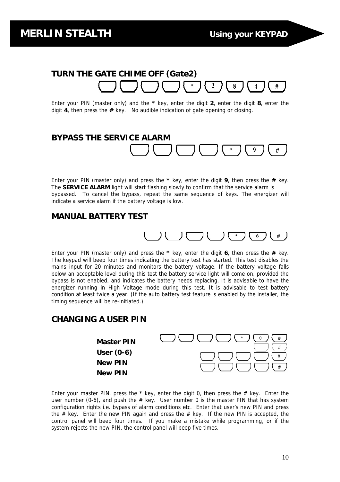#### **TURN THE GATE CHIME OFF (Gate2)** 8 #

Enter your PIN (master only) and the **\*** key, enter the digit **2**, enter the digit **8**, enter the digit **4**, then press the **#** key. No audible indication of gate opening or closing.

#### **BYPASS THE SERVICE ALARM**  $\boldsymbol{9}$  $#$

Enter your PIN (master only) and press the **\*** key, enter the digit **9**, then press the **#** key. The **SERVICE ALARM** light will start flashing slowly to confirm that the service alarm is bypassed. To cancel the bypass, repeat the same sequence of keys. The energizer will indicate a service alarm if the battery voltage is low.

#### **MANUAL BATTERY TEST**



Enter your PIN (master only) and press the **\*** key, enter the digit **6**, then press the **#** key. The keypad will beep four times indicating the battery test has started. This test disables the mains input for 20 minutes and monitors the battery voltage. If the battery voltage falls below an acceptable level during this test the battery service light will come on, provided the bypass is not enabled, and indicates the battery needs replacing. It is advisable to have the energizer running in High Voltage mode during this test. It is advisable to test battery condition at least twice a year. (If the auto battery test feature is enabled by the installer, the timing sequence will be re-initiated.)

#### **CHANGING A USER PIN**



Enter your master PIN, press the  $*$  key, enter the digit 0, then press the  $#$  key. Enter the user number (0-6), and push the  $#$  key. User number 0 is the master PIN that has system configuration rights i.e. bypass of alarm conditions etc. Enter that user's new PIN and press the  $\#$  key. Enter the new PIN again and press the  $\#$  key. If the new PIN is accepted, the control panel will beep four times. If you make a mistake while programming, or if the system rejects the new PIN, the control panel will beep five times.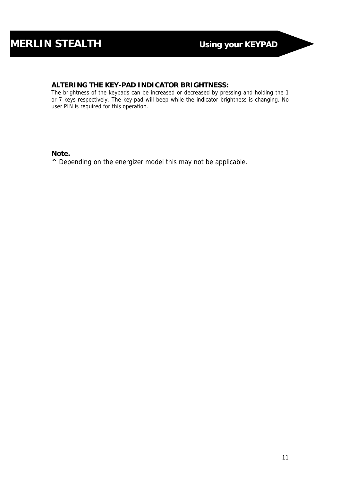#### **ALTERING THE KEY-PAD INDICATOR BRIGHTNESS:**

The brightness of the keypads can be increased or decreased by pressing and holding the 1 or 7 keys respectively. The key-pad will beep while the indicator brightness is changing. No user PIN is required for this operation.

#### **Note.**

**^** Depending on the energizer model this may not be applicable.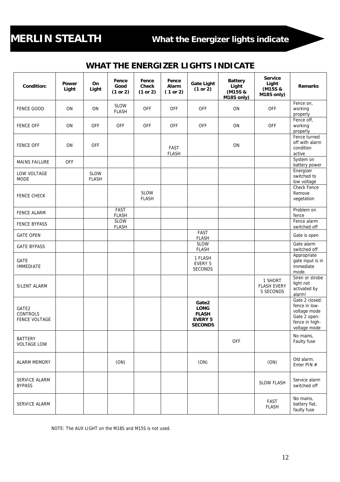# **MERLIN STEALTH What the Energizer lights indicate**

## **WHAT THE ENERGIZER LIGHTS INDICATE**

| Condition:                           | Power<br>Light | On<br>Light                 | Fence<br>Good<br>(1 or 2)   | Fence<br>Check<br>(1 or 2)  | Fence<br>Alarm<br>(1 or 2)  | <b>Gate Light</b><br>(1 or 2)                                            | <b>Battery</b><br>Light<br>(M15S &<br>M18S only) | <b>Service</b><br>Light<br>(M15S &<br>M18S only) | <b>Remarks</b>                                                                                    |
|--------------------------------------|----------------|-----------------------------|-----------------------------|-----------------------------|-----------------------------|--------------------------------------------------------------------------|--------------------------------------------------|--------------------------------------------------|---------------------------------------------------------------------------------------------------|
| <b>FENCE GOOD</b>                    | ON             | ON                          | SLOW<br><b>FLASH</b>        | <b>OFF</b>                  | OFF                         | <b>OFF</b>                                                               | ON                                               | <b>OFF</b>                                       | Fence on,<br>working<br>properly                                                                  |
| <b>FENCE OFF</b>                     | ON             | OFF                         | <b>OFF</b>                  | <b>OFF</b>                  | OFF                         | <b>OFF</b>                                                               | ON                                               | <b>OFF</b>                                       | Fence off,<br>working<br>properly                                                                 |
| <b>FENCE OFF</b>                     | ON             | OFF                         |                             |                             | <b>FAST</b><br><b>FLASH</b> |                                                                          | ON                                               |                                                  | Fence turned<br>off with alarm<br>condition<br>active                                             |
| <b>MAINS FAILURE</b>                 | <b>OFF</b>     |                             |                             |                             |                             |                                                                          |                                                  |                                                  | System on<br>battery power                                                                        |
| LOW VOLTAGE<br><b>MODE</b>           |                | <b>SLOW</b><br><b>FLASH</b> |                             |                             |                             |                                                                          |                                                  |                                                  | Energizer<br>switched to<br>low voltage                                                           |
| <b>FENCE CHECK</b>                   |                |                             |                             | <b>SLOW</b><br><b>FLASH</b> |                             |                                                                          |                                                  |                                                  | Check Fence<br>Remove<br>vegetation                                                               |
| <b>FENCE ALARM</b>                   |                |                             | FAST<br><b>FLASH</b>        |                             |                             |                                                                          |                                                  |                                                  | Problem on<br>fence                                                                               |
| <b>FENCE BYPASS</b>                  |                |                             | <b>SLOW</b><br><b>FLASH</b> |                             |                             |                                                                          |                                                  |                                                  | Fence alarm<br>switched off                                                                       |
| <b>GATE OPEN</b>                     |                |                             |                             |                             |                             | FAST<br><b>FLASH</b>                                                     |                                                  |                                                  | Gate is open                                                                                      |
| <b>GATE BYPASS</b>                   |                |                             |                             |                             |                             | <b>SLOW</b><br><b>FLASH</b>                                              |                                                  |                                                  | Gate alarm<br>switched off                                                                        |
| GATE<br><b>IMMEDIATE</b>             |                |                             |                             |                             |                             | 1 FLASH<br>EVERY 5<br>SECONDS                                            |                                                  |                                                  | Appropriate<br>gate input is in<br>immediate<br>mode.                                             |
| SILENT ALARM                         |                |                             |                             |                             |                             |                                                                          |                                                  | 1 SHORT<br><b>FLASH EVERY</b><br>5 SECONDS       | Siren or strobe<br>light not<br>activated by<br>alarm!                                            |
| GATE2<br>CONTROLS<br>FENCE VOLTAGE   |                |                             |                             |                             |                             | Gate2<br><b>LONG</b><br><b>FLASH</b><br><b>EVERY 5</b><br><b>SECONDS</b> |                                                  |                                                  | Gate 2 closed:<br>fence in low-<br>voltage mode<br>Gate 2 open:<br>fence in high-<br>voltage mode |
| <b>BATTERY</b><br><b>VOLTAGE LOW</b> |                |                             |                             |                             |                             |                                                                          | <b>OFF</b>                                       |                                                  | No mains,<br>Faulty fuse                                                                          |
| <b>ALARM MEMORY</b>                  |                |                             | (ON)                        |                             |                             | (ON)                                                                     |                                                  | (ON)                                             | Old alarm.<br>Enter PIN #                                                                         |
| SERVICE ALARM<br><b>BYPASS</b>       |                |                             |                             |                             |                             |                                                                          |                                                  | <b>SLOW FLASH</b>                                | Service alarm<br>switched off                                                                     |
| SERVICE ALARM                        |                |                             |                             |                             |                             |                                                                          |                                                  | FAST<br><b>FLASH</b>                             | No mains,<br>battery flat,<br>faulty fuse                                                         |

NOTE: The AUX LIGHT on the M18S and M15S is not used.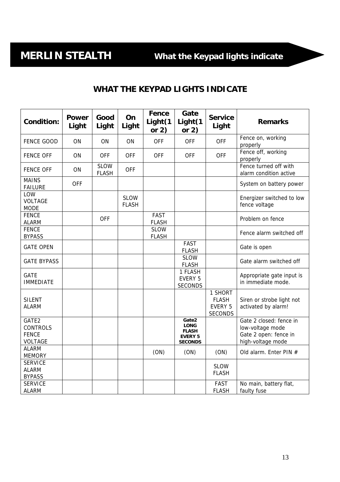## **WHAT THE KEYPAD LIGHTS INDICATE**

| <b>Condition:</b>                                   | <b>Power</b><br>Light | Good<br>Light               | On<br>Light                 | Fence<br>Light(1<br>or $2)$ | Gate<br>Light(1<br>or $2)$                                               | <b>Service</b><br>Light                              | <b>Remarks</b>                                                                            |
|-----------------------------------------------------|-----------------------|-----------------------------|-----------------------------|-----------------------------|--------------------------------------------------------------------------|------------------------------------------------------|-------------------------------------------------------------------------------------------|
| <b>FENCE GOOD</b>                                   | ON                    | ON                          | ON                          | <b>OFF</b>                  | <b>OFF</b>                                                               | <b>OFF</b>                                           | Fence on, working<br>properly                                                             |
| <b>FENCE OFF</b>                                    | ON                    | <b>OFF</b>                  | <b>OFF</b>                  | <b>OFF</b>                  | <b>OFF</b>                                                               | <b>OFF</b>                                           | Fence off, working<br>properly                                                            |
| <b>FENCE OFF</b>                                    | ON                    | <b>SLOW</b><br><b>FLASH</b> | <b>OFF</b>                  |                             |                                                                          |                                                      | Fence turned off with<br>alarm condition active                                           |
| <b>MAINS</b><br><b>FAILURE</b>                      | <b>OFF</b>            |                             |                             |                             |                                                                          |                                                      | System on battery power                                                                   |
| LOW<br><b>VOLTAGE</b><br><b>MODE</b>                |                       |                             | <b>SLOW</b><br><b>FLASH</b> |                             |                                                                          |                                                      | Energizer switched to low<br>fence voltage                                                |
| <b>FENCE</b><br><b>ALARM</b>                        |                       | <b>OFF</b>                  |                             | <b>FAST</b><br><b>FLASH</b> |                                                                          |                                                      | Problem on fence                                                                          |
| <b>FENCE</b><br><b>BYPASS</b>                       |                       |                             |                             | <b>SLOW</b><br><b>FLASH</b> |                                                                          |                                                      | Fence alarm switched off                                                                  |
| <b>GATE OPEN</b>                                    |                       |                             |                             |                             | FAST<br><b>FLASH</b>                                                     |                                                      | Gate is open                                                                              |
| <b>GATE BYPASS</b>                                  |                       |                             |                             |                             | <b>SLOW</b><br><b>FLASH</b>                                              |                                                      | Gate alarm switched off                                                                   |
| <b>GATE</b><br><b>IMMEDIATE</b>                     |                       |                             |                             |                             | 1 FLASH<br>EVERY 5<br><b>SECONDS</b>                                     |                                                      | Appropriate gate input is<br>in immediate mode.                                           |
| <b>SILENT</b><br><b>ALARM</b>                       |                       |                             |                             |                             |                                                                          | 1 SHORT<br><b>FLASH</b><br>EVERY 5<br><b>SECONDS</b> | Siren or strobe light not<br>activated by alarm!                                          |
| GATE2<br><b>CONTROLS</b><br><b>FENCE</b><br>VOLTAGE |                       |                             |                             |                             | Gate2<br><b>LONG</b><br><b>FLASH</b><br><b>EVERY 5</b><br><b>SECONDS</b> |                                                      | Gate 2 closed: fence in<br>low-voltage mode<br>Gate 2 open: fence in<br>high-voltage mode |
| <b>ALARM</b><br><b>MEMORY</b>                       |                       |                             |                             | (ON)                        | (ON)                                                                     | (ON)                                                 | Old alarm. Enter PIN #                                                                    |
| <b>SERVICE</b><br><b>ALARM</b><br><b>BYPASS</b>     |                       |                             |                             |                             |                                                                          | <b>SLOW</b><br><b>FLASH</b>                          |                                                                                           |
| <b>SERVICE</b><br><b>ALARM</b>                      |                       |                             |                             |                             |                                                                          | FAST<br><b>FLASH</b>                                 | No main, battery flat,<br>faulty fuse                                                     |